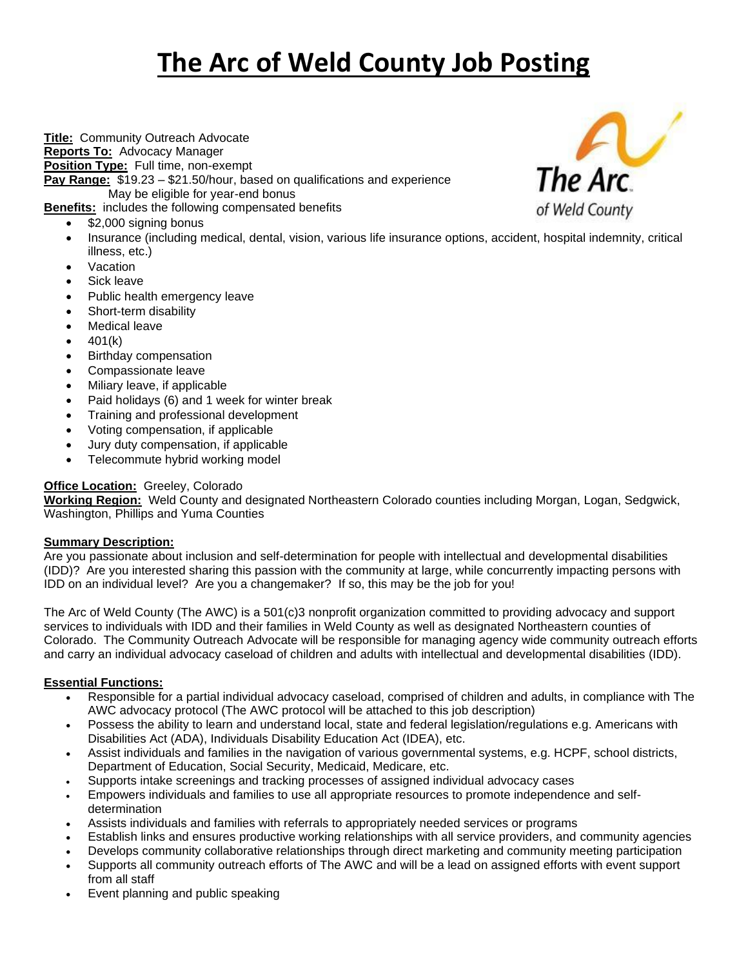# **The Arc of Weld County Job Posting**

**Title:** Community Outreach Advocate **Reports To:** Advocacy Manager **Position Type:** Full time, non-exempt **Pay Range:** \$19.23 – \$21.50/hour, based on qualifications and experience May be eligible for year-end bonus

**Benefits:** includes the following compensated benefits

- \$2,000 signing bonus
- Insurance (including medical, dental, vision, various life insurance options, accident, hospital indemnity, critical illness, etc.)
- Vacation
- Sick leave
- Public health emergency leave
- Short-term disability
- Medical leave
- $401(k)$
- Birthday compensation
- Compassionate leave
- Miliary leave, if applicable
- Paid holidays (6) and 1 week for winter break
- Training and professional development
- Voting compensation, if applicable
- Jury duty compensation, if applicable
- Telecommute hybrid working model

## **Office Location:** Greeley, Colorado

**Working Region:** Weld County and designated Northeastern Colorado counties including Morgan, Logan, Sedgwick, Washington, Phillips and Yuma Counties

## **Summary Description:**

Are you passionate about inclusion and self-determination for people with intellectual and developmental disabilities (IDD)? Are you interested sharing this passion with the community at large, while concurrently impacting persons with IDD on an individual level? Are you a changemaker? If so, this may be the job for you!

The Arc of Weld County (The AWC) is a 501(c)3 nonprofit organization committed to providing advocacy and support services to individuals with IDD and their families in Weld County as well as designated Northeastern counties of Colorado. The Community Outreach Advocate will be responsible for managing agency wide community outreach efforts and carry an individual advocacy caseload of children and adults with intellectual and developmental disabilities (IDD).

## **Essential Functions:**

- Responsible for a partial individual advocacy caseload, comprised of children and adults, in compliance with The AWC advocacy protocol (The AWC protocol will be attached to this job description)
- Possess the ability to learn and understand local, state and federal legislation/regulations e.g. Americans with Disabilities Act (ADA), Individuals Disability Education Act (IDEA), etc.
- Assist individuals and families in the navigation of various governmental systems, e.g. HCPF, school districts, Department of Education, Social Security, Medicaid, Medicare, etc.
- Supports intake screenings and tracking processes of assigned individual advocacy cases
- Empowers individuals and families to use all appropriate resources to promote independence and selfdetermination
- Assists individuals and families with referrals to appropriately needed services or programs
- Establish links and ensures productive working relationships with all service providers, and community agencies
- Develops community collaborative relationships through direct marketing and community meeting participation
- Supports all community outreach efforts of The AWC and will be a lead on assigned efforts with event support from all staff
- Event planning and public speaking

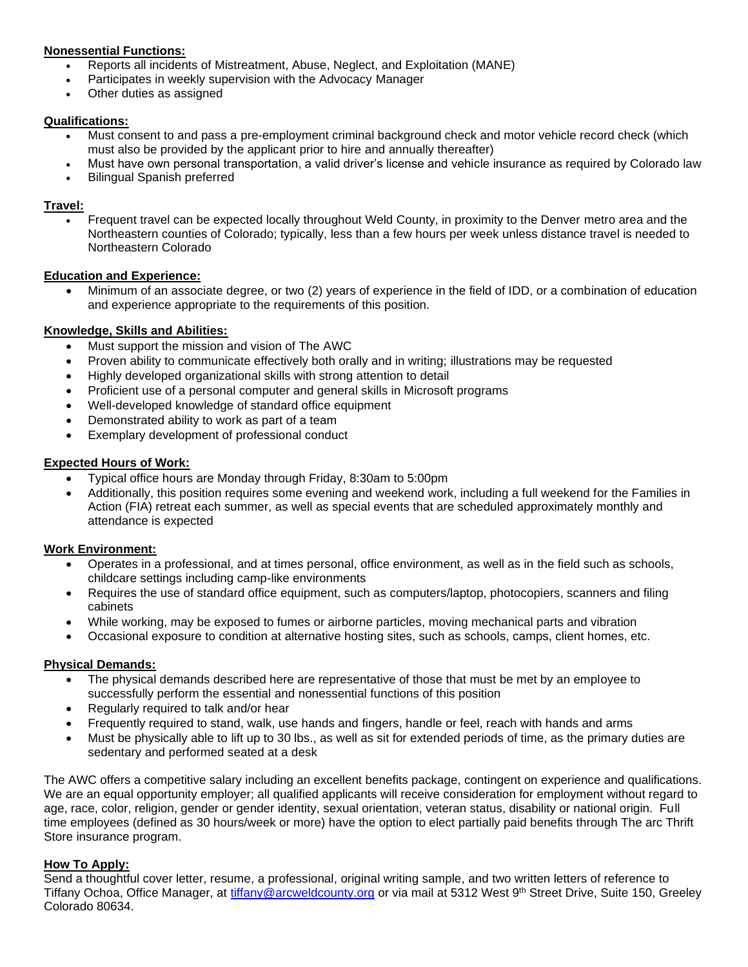## **Nonessential Functions:**

- Reports all incidents of Mistreatment, Abuse, Neglect, and Exploitation (MANE)
- Participates in weekly supervision with the Advocacy Manager
- Other duties as assigned

## **Qualifications:**

- Must consent to and pass a pre-employment criminal background check and motor vehicle record check (which must also be provided by the applicant prior to hire and annually thereafter)
- Must have own personal transportation, a valid driver's license and vehicle insurance as required by Colorado law
- Bilingual Spanish preferred

#### **Travel:**

• Frequent travel can be expected locally throughout Weld County, in proximity to the Denver metro area and the Northeastern counties of Colorado; typically, less than a few hours per week unless distance travel is needed to Northeastern Colorado

## **Education and Experience:**

• Minimum of an associate degree, or two (2) years of experience in the field of IDD, or a combination of education and experience appropriate to the requirements of this position.

#### **Knowledge, Skills and Abilities:**

- Must support the mission and vision of The AWC
- Proven ability to communicate effectively both orally and in writing; illustrations may be requested
- Highly developed organizational skills with strong attention to detail
- Proficient use of a personal computer and general skills in Microsoft programs
- Well-developed knowledge of standard office equipment
- Demonstrated ability to work as part of a team
- Exemplary development of professional conduct

#### **Expected Hours of Work:**

- Typical office hours are Monday through Friday, 8:30am to 5:00pm
- Additionally, this position requires some evening and weekend work, including a full weekend for the Families in Action (FIA) retreat each summer, as well as special events that are scheduled approximately monthly and attendance is expected

#### **Work Environment:**

- Operates in a professional, and at times personal, office environment, as well as in the field such as schools, childcare settings including camp-like environments
- Requires the use of standard office equipment, such as computers/laptop, photocopiers, scanners and filing cabinets
- While working, may be exposed to fumes or airborne particles, moving mechanical parts and vibration
- Occasional exposure to condition at alternative hosting sites, such as schools, camps, client homes, etc.

#### **Physical Demands:**

- The physical demands described here are representative of those that must be met by an employee to successfully perform the essential and nonessential functions of this position
- Regularly required to talk and/or hear
- Frequently required to stand, walk, use hands and fingers, handle or feel, reach with hands and arms
- Must be physically able to lift up to 30 lbs., as well as sit for extended periods of time, as the primary duties are sedentary and performed seated at a desk

The AWC offers a competitive salary including an excellent benefits package, contingent on experience and qualifications. We are an equal opportunity employer; all qualified applicants will receive consideration for employment without regard to age, race, color, religion, gender or gender identity, sexual orientation, veteran status, disability or national origin. Full time employees (defined as 30 hours/week or more) have the option to elect partially paid benefits through The arc Thrift Store insurance program.

## **How To Apply:**

Send a thoughtful cover letter, resume, a professional, original writing sample, and two written letters of reference to Tiffany Ochoa, Office Manager, at [tiffany@arcweldcounty.org](mailto:tiffany@arcweldcounty.org) or via mail at 5312 West 9<sup>th</sup> Street Drive, Suite 150, Greeley Colorado 80634.